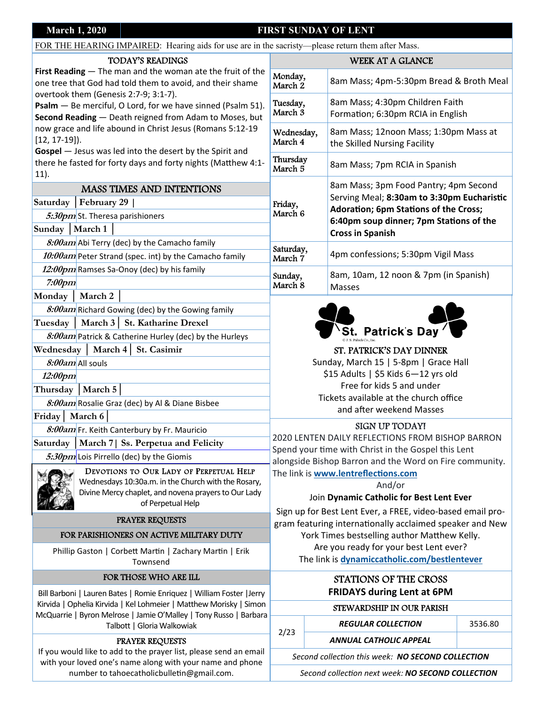# **March 1, 2020** FIRST SUNDAY OF LENT

FOR THE HEARING IMPAIRED: Hearing aids for use are in the sacristy—please return them after Mass.

# TODAY'S READINGS

**First Reading** — The man and the woman ate the fruit of the one tree that God had told them to avoid, and their shame overtook them (Genesis 2:7‐9; 3:1‐7).

**Psalm** — Be merciful, O Lord, for we have sinned (Psalm 51). **Second Reading** — Death reigned from Adam to Moses, but now grace and life abound in Christ Jesus (Romans 5:12‐19 [12, 17‐19]).

**Gospel** - Jesus was led into the desert by the Spirit and there he fasted for forty days and forty nights (Matthew 4:1-11).

# MASS TIMES AND INTENTIONS **Saturday │February 29 |**  5:30pm St. Theresa parishioners

**Sunday │March 1 │**

**8:00am** Abi Terry (dec) by the Camacho family

**10:00am** Peter Strand (spec. int) by the Camacho family

12:00pm Ramses Sa-Onoy (dec) by his family

**7:00pm** 

**Monday │ March 2 │**  8:00am Richard Gowing (dec) by the Gowing family

**Tuesday │ March 3│ St. Katharine Drexel** 

8:00am Patrick & Catherine Hurley (dec) by the Hurleys

**Wednesday │ March 4│ St. Casimir** 

**8:00am** All souls **12:00pm** 

**Thursday │March 5│**

**8:00am** Rosalie Graz (dec) by Al & Diane Bisbee

**Friday│ March 6│**

**8:00am** Fr. Keith Canterbury by Fr. Mauricio

**Saturday │March 7| Ss. Perpetua and Felicity** 

5:30pm Lois Pirrello (dec) by the Giomis

L DEVOTIONS TO OUR LADY OF PERPETUAL HELP Wednesdays 10:30a.m. in the Church with the Rosary, Divine Mercy chaplet, and novena prayers to Our Lady of Perpetual Help

# PRAYER REQUESTS

# FOR PARISHIONERS ON ACTIVE MILITARY DUTY

Phillip Gaston | Corbett Martin | Zachary Martin | Erik Townsend

# FOR THOSE WHO ARE ILL

Bill Barboni | Lauren Bates | Romie Enriquez | William Foster |Jerry Kirvida | Ophelia Kirvida | Kel Lohmeier | Matthew Morisky | Simon McQuarrie | Byron Melrose | Jamie O'Malley | Tony Russo | Barbara Talbott | Gloria Walkowiak

# PRAYER REQUESTS

If you would like to add to the prayer list, please send an email with your loved one's name along with your name and phone number to tahoecatholicbulletin@gmail.com.

|                              | WEEK AT A GLANCE      |                                                                                                                                                                                                           |  |
|------------------------------|-----------------------|-----------------------------------------------------------------------------------------------------------------------------------------------------------------------------------------------------------|--|
|                              | Monday,<br>March 2    | 8am Mass; 4pm-5:30pm Bread & Broth Meal                                                                                                                                                                   |  |
|                              | Tuesday,<br>March 3   | 8am Mass; 4:30pm Children Faith<br>Formation; 6:30pm RCIA in English                                                                                                                                      |  |
|                              | Wednesday,<br>March 4 | 8am Mass; 12noon Mass; 1:30pm Mass at<br>the Skilled Nursing Facility                                                                                                                                     |  |
|                              | Thursday<br>March 5   | 8am Mass; 7pm RCIA in Spanish                                                                                                                                                                             |  |
|                              | Friday,<br>March 6    | 8am Mass; 3pm Food Pantry; 4pm Second<br>Serving Meal; 8:30am to 3:30pm Eucharistic<br><b>Adoration; 6pm Stations of the Cross;</b><br>6:40pm soup dinner; 7pm Stations of the<br><b>Cross in Spanish</b> |  |
| Saturday,<br>March 7         |                       | 4pm confessions; 5:30pm Vigil Mass                                                                                                                                                                        |  |
| Sunday,<br>March 8<br>Masses |                       | 8am, 10am, 12 noon & 7pm (in Spanish)                                                                                                                                                                     |  |



# ST. PATRICK'S DAY DINNER

Sunday, March 15 | 5‐8pm | Grace Hall \$15 Adults | \$5 Kids 6—12 yrs old Free for kids 5 and under Tickets available at the church office and after weekend Masses

# SIGN UP TODAY!

2020 LENTEN DAILY REFLECTIONS FROM BISHOP BARRON Spend your time with Christ in the Gospel this Lent alongside Bishop Barron and the Word on Fire community. The link is **www.lentreflections.com** 

And/or

Join **Dynamic Catholic for Best Lent Ever**

Sign up for Best Lent Ever, a FREE, video‐based email pro‐ gram featuring internationally acclaimed speaker and New York Times bestselling author Matthew Kelly.

Are you ready for your best Lent ever? The link is **dynamiccatholic.com/bestlentever**

# STATIONS OF THE CROSS **FRIDAYS during Lent at 6PM**

STEWARDSHIP IN OUR PARISH

*REGULAR COLLECTION* 3536.80 *ANNUAL CATHOLIC APPEAL* 

2/23

*Second collecƟon this week: NO SECOND COLLECTION*

*Second collecƟon next week: NO SECOND COLLECTION*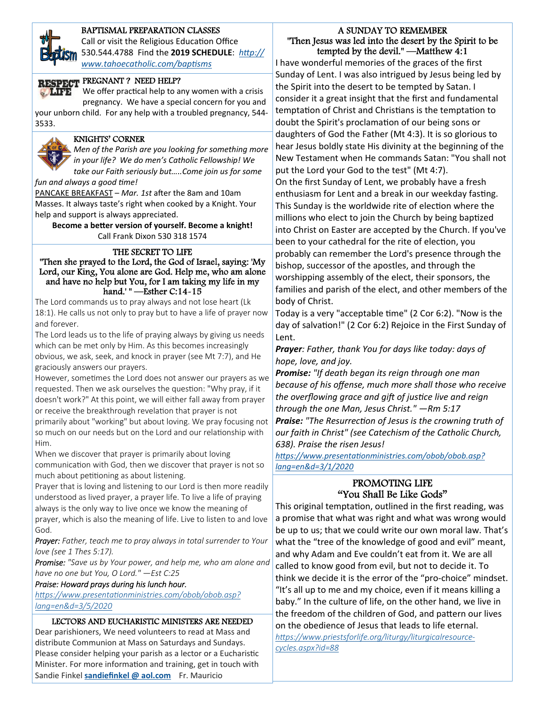

# BAPTISMAL PREPARATION CLASSES

Call or visit the Religious Education Office

 *www.tahoecatholic.com/bapƟsms* 530.544.4788 Find the 2019 SCHEDULE: *http://* 

# **RESPECT PREGNANT? NEED HELP?**



 pregnancy. We have a special concern for you and We offer practical help to any women with a crisis your unborn child. For any help with a troubled pregnancy, 544‐ 3533.



### KNIGHTS' CORNER

 *take our Faith seriously but…..Come join us for some Men of the Parish are you looking for something more in your life? We do men's Catholic Fellowship! We* 

*fun and always a good Ɵme!* 

PANCAKE BREAKFAST - Mar. 1st after the 8am and 10am Masses. It always taste's right when cooked by a Knight. Your help and support is always appreciated.

**Become a beƩer version of yourself. Become a knight!** Call Frank Dixon 530 318 1574

# THE SECRET TO LIFE "Then she prayed to the Lord, the God of Israel, saying: 'My

Lord, our King, You alone are God. Help me, who am alone and have no help but You, for I am taking my life in my hand.' " —Esther C:14-15

The Lord commands us to pray always and not lose heart (Lk 18:1). He calls us not only to pray but to have a life of prayer now and forever.

The Lord leads us to the life of praying always by giving us needs which can be met only by Him. As this becomes increasingly obvious, we ask, seek, and knock in prayer (see Mt 7:7), and He graciously answers our prayers.

However, sometimes the Lord does not answer our prayers as we requested. Then we ask ourselves the question: "Why pray, if it doesn't work?" At this point, we will either fall away from prayer or receive the breakthrough revelation that prayer is not

primarily about "working" but about loving. We pray focusing not so much on our needs but on the Lord and our relationship with Him.

When we discover that prayer is primarily about loving communication with God, then we discover that prayer is not so much about petitioning as about listening.

Prayer that is loving and listening to our Lord is then more readily understood as lived prayer, a prayer life. To live a life of praying always is the only way to live once we know the meaning of prayer, which is also the meaning of life. Live to listen to and love God.

*Prayer: Father, teach me to pray always in total surrender to Your love (see 1 Thes 5:17).* 

*Promise: "Save us by Your power, and help me, who am alone and have no one but You, O Lord." —Est C:25* 

### *Praise: Howard prays during his lunch hour.*

*hƩps://www.presentaƟonministries.com/obob/obob.asp? lang=en&d=3/5/2020* 

# LECTORS AND EUCHARISTIC MINISTERS ARE NEEDED

Dear parishioners, We need volunteers to read at Mass and distribute Communion at Mass on Saturdays and Sundays. Please consider helping your parish as a lector or a Eucharistic Minister. For more information and training, get in touch with Sandie Finkel **sandiefinkel @ aol.com** Fr. Mauricio

### A SUNDAY TO REMEMBER "Then Jesus was led into the desert by the Spirit to be tempted by the devil." —Matthew 4:1

I have wonderful memories of the graces of the first Sunday of Lent. I was also intrigued by Jesus being led by the Spirit into the desert to be tempted by Satan. I consider it a great insight that the first and fundamental temptation of Christ and Christians is the temptation to doubt the Spirit's proclamation of our being sons or daughters of God the Father (Mt 4:3). It is so glorious to hear Jesus boldly state His divinity at the beginning of the New Testament when He commands Satan: "You shall not put the Lord your God to the test" (Mt 4:7).

On the first Sunday of Lent, we probably have a fresh enthusiasm for Lent and a break in our weekday fasting. This Sunday is the worldwide rite of election where the millions who elect to join the Church by being baptized into Christ on Easter are accepted by the Church. If you've been to your cathedral for the rite of election, you probably can remember the Lord's presence through the bishop, successor of the apostles, and through the worshipping assembly of the elect, their sponsors, the families and parish of the elect, and other members of the body of Christ.

Today is a very "acceptable time" (2 Cor 6:2). "Now is the day of salvation!" (2 Cor 6:2) Rejoice in the First Sunday of Lent.

*Prayer: Father, thank You for days like today: days of hope, love, and joy.* 

*Promise: "If death began its reign through one man because of his offense, much more shall those who receive the overflowing grace and gift of justice live and reign through the one Man, Jesus Christ." —Rm 5:17* 

*Praise: "The ResurrecƟon of Jesus is the crowning truth of our faith in Christ" (see Catechism of the Catholic Church, 638). Praise the risen Jesus!* 

*hƩps://www.presentaƟonministries.com/obob/obob.asp? lang=en&d=3/1/2020* 

# PROMOTING LIFE "You Shall Be Like Gods"

This original temptation, outlined in the first reading, was a promise that what was right and what was wrong would be up to us; that we could write our own moral law. That's what the "tree of the knowledge of good and evil" meant, and why Adam and Eve couldn't eat from it. We are all called to know good from evil, but not to decide it. To think we decide it is the error of the "pro‐choice" mindset. "It's all up to me and my choice, even if it means killing a baby." In the culture of life, on the other hand, we live in the freedom of the children of God, and pattern our lives on the obedience of Jesus that leads to life eternal.

*hƩps://www.priestsforlife.org/liturgy/liturgicalresource‐ cycles.aspx?id=88*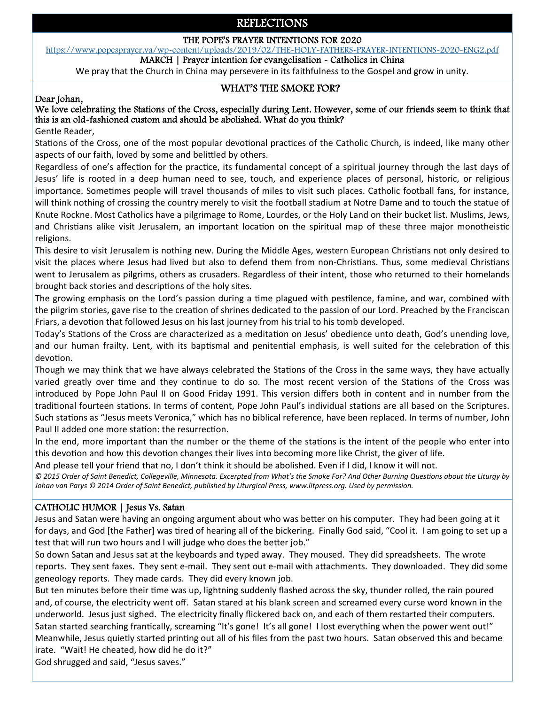# REFLECTIONS

# THE POPE'S PRAYER INTENTIONS FOR 2020

https://www.popesprayer.va/wp-content/uploads/2019/02/THE-HOLY-FATHERS-PRAYER-INTENTIONS-2020-ENG2.pdf

MARCH | Prayer intention for evangelisation - Catholics in China

We pray that the Church in China may persevere in its faithfulness to the Gospel and grow in unity.

# WHAT'S THE SMOKE FOR? Dear Johan,

# We love celebrating the Stations of the Cross, especially during Lent. However, some of our friends seem to think that this is an old-fashioned custom and should be abolished. What do you think?

Gentle Reader,

Stations of the Cross, one of the most popular devotional practices of the Catholic Church, is indeed, like many other aspects of our faith, loved by some and belittled by others.

Regardless of one's affection for the practice, its fundamental concept of a spiritual journey through the last days of Jesus' life is rooted in a deep human need to see, touch, and experience places of personal, historic, or religious importance. Sometimes people will travel thousands of miles to visit such places. Catholic football fans, for instance, will think nothing of crossing the country merely to visit the football stadium at Notre Dame and to touch the statue of Knute Rockne. Most Catholics have a pilgrimage to Rome, Lourdes, or the Holy Land on their bucket list. Muslims, Jews, and Christians alike visit Jerusalem, an important location on the spiritual map of these three major monotheistic religions.

This desire to visit Jerusalem is nothing new. During the Middle Ages, western European Christians not only desired to visit the places where Jesus had lived but also to defend them from non-Christians. Thus, some medieval Christians went to Jerusalem as pilgrims, others as crusaders. Regardless of their intent, those who returned to their homelands brought back stories and descriptions of the holy sites.

The growing emphasis on the Lord's passion during a time plagued with pestilence, famine, and war, combined with the pilgrim stories, gave rise to the creation of shrines dedicated to the passion of our Lord. Preached by the Franciscan Friars, a devotion that followed Jesus on his last journey from his trial to his tomb developed.

Today's Stations of the Cross are characterized as a meditation on Jesus' obedience unto death, God's unending love, and our human frailty. Lent, with its baptismal and penitential emphasis, is well suited for the celebration of this devotion.

Though we may think that we have always celebrated the Stations of the Cross in the same ways, they have actually varied greatly over time and they continue to do so. The most recent version of the Stations of the Cross was introduced by Pope John Paul II on Good Friday 1991. This version differs both in content and in number from the traditional fourteen stations. In terms of content, Pope John Paul's individual stations are all based on the Scriptures. Such stations as "Jesus meets Veronica," which has no biblical reference, have been replaced. In terms of number, John Paul II added one more station: the resurrection.

In the end, more important than the number or the theme of the stations is the intent of the people who enter into this devotion and how this devotion changes their lives into becoming more like Christ, the giver of life.

And please tell your friend that no, I don't think it should be abolished. Even if I did, I know it will not.

 $O$  2015 Order of Saint Benedict, Collegeville, Minnesota. Excerpted from What's the Smoke For? And Other Burning Questions about the Liturgy by Johan van Parys © 2014 Order of Saint Benedict, published by Liturgical Press, www.litpress.org. Used by permission.

# CATHOLIC HUMOR | Jesus Vs. Satan

Jesus and Satan were having an ongoing argument about who was better on his computer. They had been going at it for days, and God [the Father] was tired of hearing all of the bickering. Finally God said, "Cool it. I am going to set up a test that will run two hours and I will judge who does the better job."

So down Satan and Jesus sat at the keyboards and typed away. They moused. They did spreadsheets. The wrote reports. They sent faxes. They sent e-mail. They sent out e-mail with attachments. They downloaded. They did some geneology reports. They made cards. They did every known job.

But ten minutes before their time was up, lightning suddenly flashed across the sky, thunder rolled, the rain poured and, of course, the electricity went off. Satan stared at his blank screen and screamed every curse word known in the underworld. Jesus just sighed. The electricity finally flickered back on, and each of them restarted their computers. Satan started searching frantically, screaming "It's gone! It's all gone! I lost everything when the power went out!" Meanwhile, Jesus quietly started printing out all of his files from the past two hours. Satan observed this and became irate. "Wait! He cheated, how did he do it?"

God shrugged and said, "Jesus saves."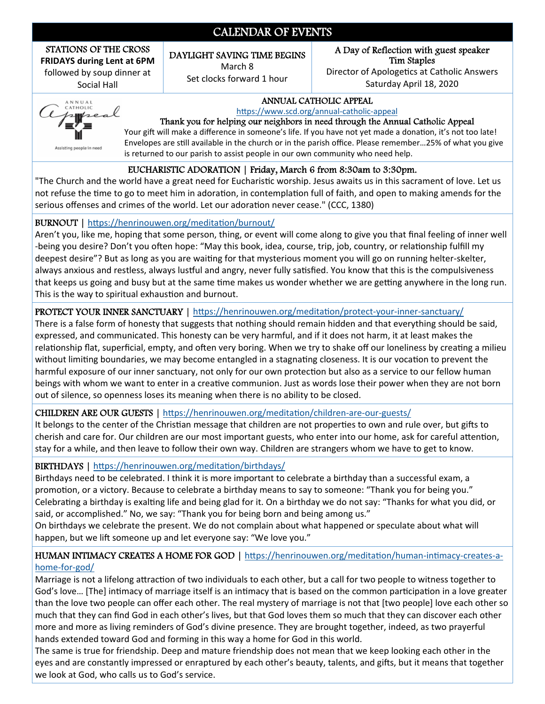# CALENDAR OF EVENTS

### STATIONS OF THE CROSS **FRIDAYS during Lent at 6PM**

followed by soup dinner at Social Hall

DAYLIGHT SAVING TIME BEGINS

March 8 Set clocks forward 1 hour

# A Day of Reflection with guest speaker Tim Staples

Director of Apologetics at Catholic Answers Saturday April 18, 2020



# ANNUAL CATHOLIC APPEAL

https://www.scd.org/annual-catholic-appeal

# Thank you for helping our neighbors in need through the Annual Catholic Appeal

 is returned to our parish to assist people in our own community who need help. Your gift will make a difference in someone's life. If you have not yet made a donation, it's not too late! Envelopes are sƟll available in the church or in the parish office. Please remember…25% of what you give

# EUCHARISTIC ADORATION | Friday, March 6 from 8:30am to 3:30pm.

"The Church and the world have a great need for Eucharistic worship. Jesus awaits us in this sacrament of love. Let us not refuse the time to go to meet him in adoration, in contemplation full of faith, and open to making amends for the serious offenses and crimes of the world. Let our adoration never cease." (CCC, 1380)

# BURNOUT | https://henrinouwen.org/meditation/burnout/

Aren't you, like me, hoping that some person, thing, or event will come along to give you that final feeling of inner well -being you desire? Don't you often hope: "May this book, idea, course, trip, job, country, or relationship fulfill my deepest desire"? But as long as you are waiting for that mysterious moment you will go on running helter-skelter, always anxious and restless, always lustful and angry, never fully satisfied. You know that this is the compulsiveness that keeps us going and busy but at the same time makes us wonder whether we are getting anywhere in the long run. This is the way to spiritual exhaustion and burnout.

# PROTECT YOUR INNER SANCTUARY | https://henrinouwen.org/meditation/protect-your-inner-sanctuary/

There is a false form of honesty that suggests that nothing should remain hidden and that everything should be said, expressed, and communicated. This honesty can be very harmful, and if it does not harm, it at least makes the relationship flat, superficial, empty, and often very boring. When we try to shake off our loneliness by creating a milieu without limiting boundaries, we may become entangled in a stagnating closeness. It is our vocation to prevent the harmful exposure of our inner sanctuary, not only for our own protection but also as a service to our fellow human beings with whom we want to enter in a creative communion. Just as words lose their power when they are not born out of silence, so openness loses its meaning when there is no ability to be closed.

# CHILDREN ARE OUR GUESTS | https://henrinouwen.org/meditation/children-are-our-guests/

It belongs to the center of the Christian message that children are not properties to own and rule over, but gifts to cherish and care for. Our children are our most important guests, who enter into our home, ask for careful attention, stay for a while, and then leave to follow their own way. Children are strangers whom we have to get to know.

# BIRTHDAYS | https://henrinouwen.org/meditation/birthdays/

Birthdays need to be celebrated. I think it is more important to celebrate a birthday than a successful exam, a promotion, or a victory. Because to celebrate a birthday means to say to someone: "Thank you for being you." Celebrating a birthday is exalting life and being glad for it. On a birthday we do not say: "Thanks for what you did, or said, or accomplished." No, we say: "Thank you for being born and being among us."

On birthdays we celebrate the present. We do not complain about what happened or speculate about what will happen, but we lift someone up and let everyone say: "We love you."

# HUMAN INTIMACY CREATES A HOME FOR GOD | https://henrinouwen.org/meditation/human-intimacy-creates-ahome‐for‐god/

Marriage is not a lifelong attraction of two individuals to each other, but a call for two people to witness together to God's love... [The] intimacy of marriage itself is an intimacy that is based on the common participation in a love greater than the love two people can offer each other. The real mystery of marriage is not that [two people] love each other so much that they can find God in each other's lives, but that God loves them so much that they can discover each other more and more as living reminders of God's divine presence. They are brought together, indeed, as two prayerful hands extended toward God and forming in this way a home for God in this world.

The same is true for friendship. Deep and mature friendship does not mean that we keep looking each other in the eyes and are constantly impressed or enraptured by each other's beauty, talents, and gifts, but it means that together we look at God, who calls us to God's service.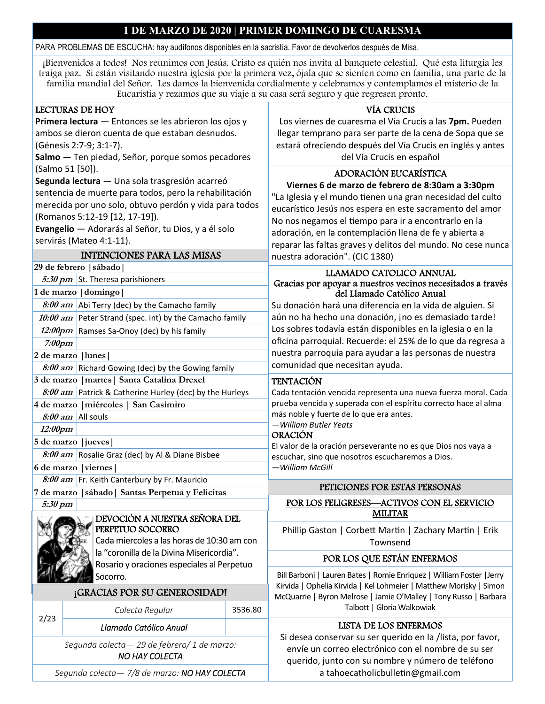# **1 DE MARZO DE 2020 | PRIMER DOMINGO DE CUARESMA**

# PARA PROBLEMAS DE ESCUCHA: hay audífonos disponibles en la sacristía. Favor de devolverlos después de Misa.

¡Bienvenidos a todos! Nos reunimos con Jesús. Cristo es quién nos invita al banquete celestial. Qué esta liturgia les traiga paz. Si están visitando nuestra iglesia por la primera vez, ójala que se sienten como en familia, una parte de la familia mundial del Señor. Les damos la bienvenida cordialmente y celebramos y contemplamos el misterio de la Eucaristía y rezamos que su viaje a su casa será seguro y que regresen pronto.

|                                                                                                                                                                                                                                                                                                                                            |                                                                                                                                                                                                                                                                                                                              |         | theathola y Teadhees que su viaje a su casa será sexure y que rexi coen prenie.                                                                                                                                                                                                                                                                                                                                                                                     |  |
|--------------------------------------------------------------------------------------------------------------------------------------------------------------------------------------------------------------------------------------------------------------------------------------------------------------------------------------------|------------------------------------------------------------------------------------------------------------------------------------------------------------------------------------------------------------------------------------------------------------------------------------------------------------------------------|---------|---------------------------------------------------------------------------------------------------------------------------------------------------------------------------------------------------------------------------------------------------------------------------------------------------------------------------------------------------------------------------------------------------------------------------------------------------------------------|--|
|                                                                                                                                                                                                                                                                                                                                            | LECTURAS DE HOY<br>Primera lectura - Entonces se les abrieron los ojos y<br>ambos se dieron cuenta de que estaban desnudos.<br>(Génesis 2:7-9; 3:1-7).<br>Salmo - Ten piedad, Señor, porque somos pecadores                                                                                                                  |         | <b>VÍA CRUCIS</b><br>Los viernes de cuaresma el Vía Crucis a las 7pm. Pueden<br>llegar temprano para ser parte de la cena de Sopa que se<br>estará ofreciendo después del Vía Crucis en inglés y antes<br>del Vía Crucis en español                                                                                                                                                                                                                                 |  |
| (Salmo 51 [50]).                                                                                                                                                                                                                                                                                                                           | Segunda lectura - Una sola trasgresión acarreó<br>sentencia de muerte para todos, pero la rehabilitación<br>merecida por uno solo, obtuvo perdón y vida para todos<br>(Romanos 5:12-19 [12, 17-19]).<br>Evangelio - Adorarás al Señor, tu Dios, y a él solo<br>servirás (Mateo 4:1-11).<br><b>INTENCIONES PARA LAS MISAS</b> |         | ADORACIÓN EUCARÍSTICA<br>Viernes 6 de marzo de febrero de 8:30am a 3:30pm<br>"La Iglesia y el mundo tienen una gran necesidad del culto<br>eucarístico Jesús nos espera en este sacramento del amor<br>No nos negamos el tiempo para ir a encontrarlo en la<br>adoración, en la contemplación llena de fe y abierta a<br>reparar las faltas graves y delitos del mundo. No cese nunca<br>nuestra adoración". (CIC 1380)                                             |  |
| 29 de febrero   sábado  <br>5:30 pm St. Theresa parishioners<br>1 de marzo   domingo  <br>8:00 am Abi Terry (dec) by the Camacho family<br>10:00 am Peter Strand (spec. int) by the Camacho family<br>12:00pm Ramses Sa-Onoy (dec) by his family<br>$7:00$ pm<br>2 de marzo   lunes  <br>8:00 am Richard Gowing (dec) by the Gowing family |                                                                                                                                                                                                                                                                                                                              |         | LLAMADO CATOLICO ANNUAL<br>Gracias por apoyar a nuestros vecinos necesitados a través<br>del Llamado Católico Anual<br>Su donación hará una diferencia en la vida de alguien. Si<br>aún no ha hecho una donación, ino es demasiado tarde!<br>Los sobres todavía están disponibles en la iglesia o en la<br>oficina parroquial. Recuerde: el 25% de lo que da regresa a<br>nuestra parroquia para ayudar a las personas de nuestra<br>comunidad que necesitan ayuda. |  |
| 12:00pm<br>5 de marzo   jueves                                                                                                                                                                                                                                                                                                             | 3 de marzo   martes   Santa Catalina Drexel<br>8:00 am Patrick & Catherine Hurley (dec) by the Hurleys<br>4 de marzo   miércoles   San Casimiro<br>$8:00$ am All souls<br>8:00 am Rosalie Graz (dec) by Al & Diane Bisbee<br>6 de marzo   viernes                                                                            |         | <b>TENTACIÓN</b><br>Cada tentación vencida representa una nueva fuerza moral. Cada<br>prueba vencida y superada con el espíritu correcto hace al alma<br>más noble y fuerte de lo que era antes.<br>-William Butler Yeats<br>ORACIÓN<br>El valor de la oración perseverante no es que Dios nos vaya a<br>escuchar, sino que nosotros escucharemos a Dios.<br>-William McGill                                                                                        |  |
|                                                                                                                                                                                                                                                                                                                                            | 8:00 am Fr. Keith Canterbury by Fr. Mauricio<br>7 de marzo   sábado   Santas Perpetua y Felicitas                                                                                                                                                                                                                            |         | PETICIONES POR ESTAS PERSONAS                                                                                                                                                                                                                                                                                                                                                                                                                                       |  |
| 5:30 pm<br>DEVOCIÓN A NUESTRA SEÑORA DEL<br>PERPETUO SOCORRO<br>Cada miercoles a las horas de 10:30 am con<br>la "coronilla de la Divina Misericordia".<br>Rosario y oraciones especiales al Perpetuo                                                                                                                                      |                                                                                                                                                                                                                                                                                                                              |         | POR LOS FELIGRESES-ACTIVOS CON EL SERVICIO<br><b>MILITAR</b><br>Phillip Gaston   Corbett Martin   Zachary Martin   Erik<br>Townsend                                                                                                                                                                                                                                                                                                                                 |  |
|                                                                                                                                                                                                                                                                                                                                            |                                                                                                                                                                                                                                                                                                                              |         | POR LOS QUE ESTÁN ENFERMOS                                                                                                                                                                                                                                                                                                                                                                                                                                          |  |
|                                                                                                                                                                                                                                                                                                                                            | Socorro.                                                                                                                                                                                                                                                                                                                     |         | Bill Barboni   Lauren Bates   Romie Enriquez   William Foster   Jerry<br>Kirvida   Ophelia Kirvida   Kel Lohmeier   Matthew Morisky   Simon<br>McQuarrie   Byron Melrose   Jamie O'Malley   Tony Russo   Barbara<br>Talbott   Gloria Walkowiak                                                                                                                                                                                                                      |  |
|                                                                                                                                                                                                                                                                                                                                            | <b>¡GRACIAS POR SU GENEROSIDADI</b><br>Colecta Regular                                                                                                                                                                                                                                                                       | 3536.80 |                                                                                                                                                                                                                                                                                                                                                                                                                                                                     |  |
| 2/23<br>Llamado Católico Anual<br>Segunda colecta-29 de febrero/1 de marzo:<br>NO HAY COLECTA<br>Segunda colecta-7/8 de marzo: NO HAY COLECTA                                                                                                                                                                                              |                                                                                                                                                                                                                                                                                                                              |         | LISTA DE LOS ENFERMOS<br>Si desea conservar su ser querido en la /lista, por favor,<br>envíe un correo electrónico con el nombre de su ser<br>querido, junto con su nombre y número de teléfono                                                                                                                                                                                                                                                                     |  |
|                                                                                                                                                                                                                                                                                                                                            |                                                                                                                                                                                                                                                                                                                              |         | a tahoecatholicbulletin@gmail.com                                                                                                                                                                                                                                                                                                                                                                                                                                   |  |